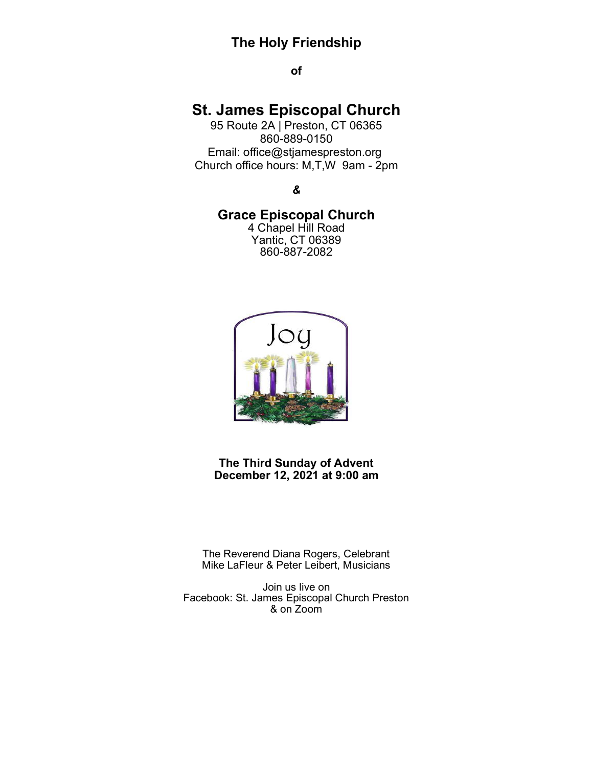# **The Holy Friendship**

**of**

# **St. James Episcopal Church**

95 Route 2A | Preston, CT 06365 860-889-0150 Email: office@stjamespreston.org Church office hours: M,T,W 9am - 2pm

*&* 

## **Grace Episcopal Church**

4 Chapel Hill Road Yantic, CT 06389 860-887-2082



**The Third Sunday of Advent December 12, 2021 at 9:00 am**

The Reverend Diana Rogers, Celebrant Mike LaFleur & Peter Leibert, Musicians

Join us live on Facebook: St. James Episcopal Church Preston & on Zoom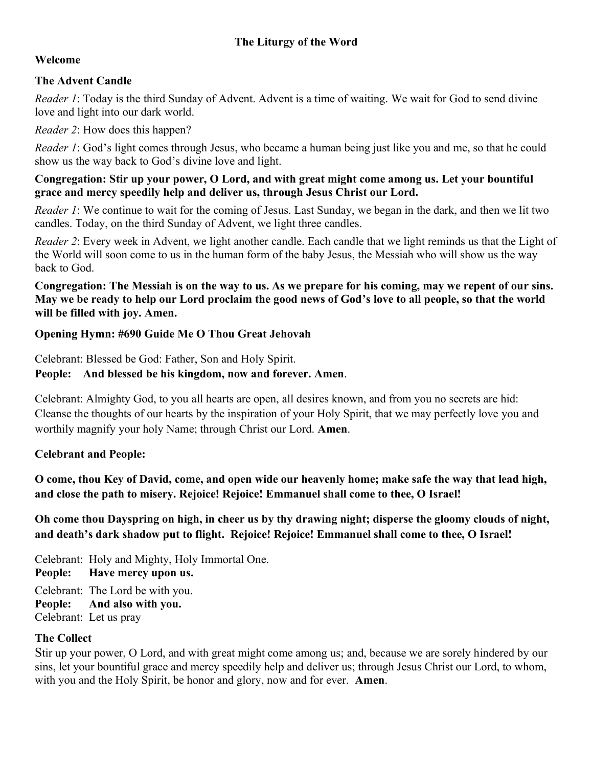### **The Liturgy of the Word**

#### **Welcome**

#### **The Advent Candle**

*Reader 1*: Today is the third Sunday of Advent. Advent is a time of waiting. We wait for God to send divine love and light into our dark world.

*Reader 2*: How does this happen?

*Reader 1*: God's light comes through Jesus, who became a human being just like you and me, so that he could show us the way back to God's divine love and light.

#### **Congregation: Stir up your power, O Lord, and with great might come among us. Let your bountiful grace and mercy speedily help and deliver us, through Jesus Christ our Lord.**

*Reader 1*: We continue to wait for the coming of Jesus. Last Sunday, we began in the dark, and then we lit two candles. Today, on the third Sunday of Advent, we light three candles.

*Reader 2*: Every week in Advent, we light another candle. Each candle that we light reminds us that the Light of the World will soon come to us in the human form of the baby Jesus, the Messiah who will show us the way back to God.

**Congregation: The Messiah is on the way to us. As we prepare for his coming, may we repent of our sins. May we be ready to help our Lord proclaim the good news of God's love to all people, so that the world will be filled with joy. Amen.**

#### **Opening Hymn: #690 Guide Me O Thou Great Jehovah**

Celebrant: Blessed be God: Father, Son and Holy Spirit.

#### **People: And blessed be his kingdom, now and forever. Amen**.

Celebrant: Almighty God, to you all hearts are open, all desires known, and from you no secrets are hid: Cleanse the thoughts of our hearts by the inspiration of your Holy Spirit, that we may perfectly love you and worthily magnify your holy Name; through Christ our Lord. **Amen**.

#### **Celebrant and People:**

**O come, thou Key of David, come, and open wide our heavenly home; make safe the way that lead high, and close the path to misery. Rejoice! Rejoice! Emmanuel shall come to thee, O Israel!** 

**Oh come thou Dayspring on high, in cheer us by thy drawing night; disperse the gloomy clouds of night, and death's dark shadow put to flight. Rejoice! Rejoice! Emmanuel shall come to thee, O Israel!** 

Celebrant: Holy and Mighty, Holy Immortal One. **People: Have mercy upon us.**  Celebrant: The Lord be with you. **People: And also with you.** Celebrant: Let us pray

#### **The Collect**

Stir up your power, O Lord, and with great might come among us; and, because we are sorely hindered by our sins, let your bountiful grace and mercy speedily help and deliver us; through Jesus Christ our Lord, to whom, with you and the Holy Spirit, be honor and glory, now and for ever. **Amen**.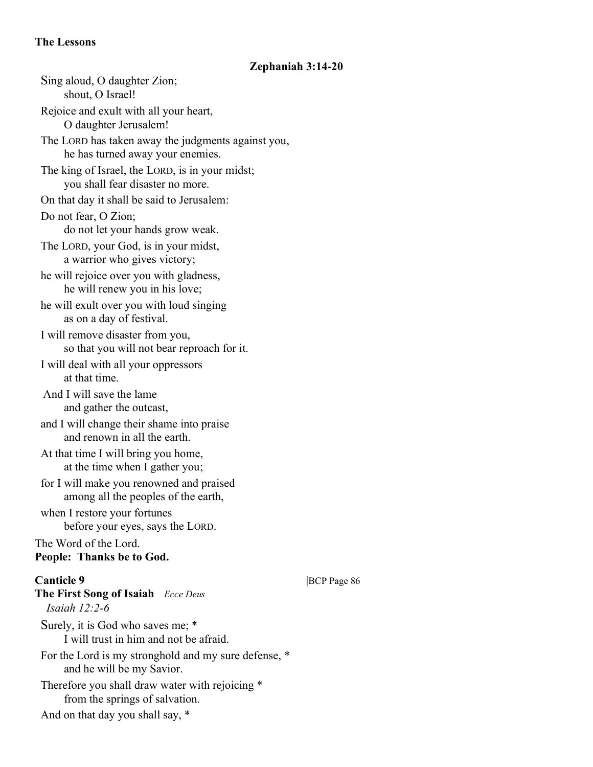#### **The Lessons**

#### **Zephaniah 3:14-20**

Sing aloud, O daughter Zion; shout, O Israel! Rejoice and exult with all your heart, O daughter Jerusalem! The LORD has taken away the judgments against you, he has turned away your enemies. The king of Israel, the LORD, is in your midst; you shall fear disaster no more. On that day it shall be said to Jerusalem: Do not fear, O Zion; do not let your hands grow weak. The LORD, your God, is in your midst, a warrior who gives victory; he will rejoice over you with gladness, he will renew you in his love; he will exult over you with loud singing as on a day of festival. I will remove disaster from you, so that you will not bear reproach for it. I will deal with all your oppressors at that time. And I will save the lame and gather the outcast, and I will change their shame into praise and renown in all the earth. At that time I will bring you home, at the time when I gather you; for I will make you renowned and praised among all the peoples of the earth, when I restore your fortunes before your eyes, says the LORD. The Word of the Lord. **People: Thanks be to God. Canticle 9** |BCP Page 86 **The First Song of Isaiah** *Ecce Deus Isaiah 12:2-6* Surely, it is God who saves me; \* I will trust in him and not be afraid. For the Lord is my stronghold and my sure defense, \* and he will be my Savior. Therefore you shall draw water with rejoicing \* from the springs of salvation. And on that day you shall say, \*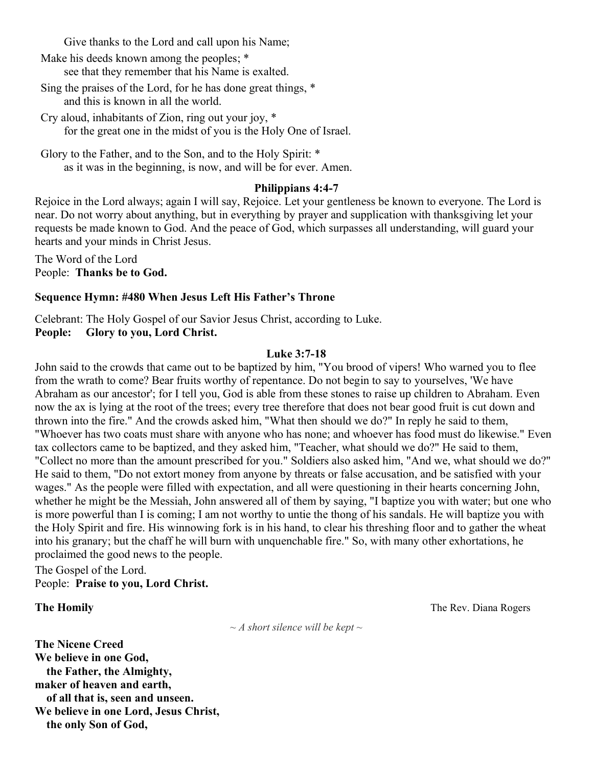Give thanks to the Lord and call upon his Name;

Make his deeds known among the peoples; \* see that they remember that his Name is exalted.

Sing the praises of the Lord, for he has done great things, \* and this is known in all the world.

Cry aloud, inhabitants of Zion, ring out your joy, \* for the great one in the midst of you is the Holy One of Israel.

Glory to the Father, and to the Son, and to the Holy Spirit: \* as it was in the beginning, is now, and will be for ever. Amen.

#### **Philippians 4:4-7**

Rejoice in the Lord always; again I will say, Rejoice. Let your gentleness be known to everyone. The Lord is near. Do not worry about anything, but in everything by prayer and supplication with thanksgiving let your requests be made known to God. And the peace of God, which surpasses all understanding, will guard your hearts and your minds in Christ Jesus.

The Word of the Lord People: **Thanks be to God.**

#### **Sequence Hymn: #480 When Jesus Left His Father's Throne**

Celebrant: The Holy Gospel of our Savior Jesus Christ, according to Luke. **People: Glory to you, Lord Christ.**

#### **Luke 3:7-18**

John said to the crowds that came out to be baptized by him, "You brood of vipers! Who warned you to flee from the wrath to come? Bear fruits worthy of repentance. Do not begin to say to yourselves, 'We have Abraham as our ancestor'; for I tell you, God is able from these stones to raise up children to Abraham. Even now the ax is lying at the root of the trees; every tree therefore that does not bear good fruit is cut down and thrown into the fire." And the crowds asked him, "What then should we do?" In reply he said to them, "Whoever has two coats must share with anyone who has none; and whoever has food must do likewise." Even tax collectors came to be baptized, and they asked him, "Teacher, what should we do?" He said to them, "Collect no more than the amount prescribed for you." Soldiers also asked him, "And we, what should we do?" He said to them, "Do not extort money from anyone by threats or false accusation, and be satisfied with your wages." As the people were filled with expectation, and all were questioning in their hearts concerning John, whether he might be the Messiah, John answered all of them by saying, "I baptize you with water; but one who is more powerful than I is coming; I am not worthy to untie the thong of his sandals. He will baptize you with the Holy Spirit and fire. His winnowing fork is in his hand, to clear his threshing floor and to gather the wheat into his granary; but the chaff he will burn with unquenchable fire." So, with many other exhortations, he proclaimed the good news to the people.

The Gospel of the Lord. People: **Praise to you, Lord Christ.**

*~ A short silence will be kept ~*

**The Nicene Creed We believe in one God, the Father, the Almighty, maker of heaven and earth, of all that is, seen and unseen. We believe in one Lord, Jesus Christ, the only Son of God,**

**The Homily Contract Contract Contract Contract Contract Contract Contract Contract Contract Contract Contract Contract Contract Contract Contract Contract Contract Contract Contract Contract Contract Contract Contract C**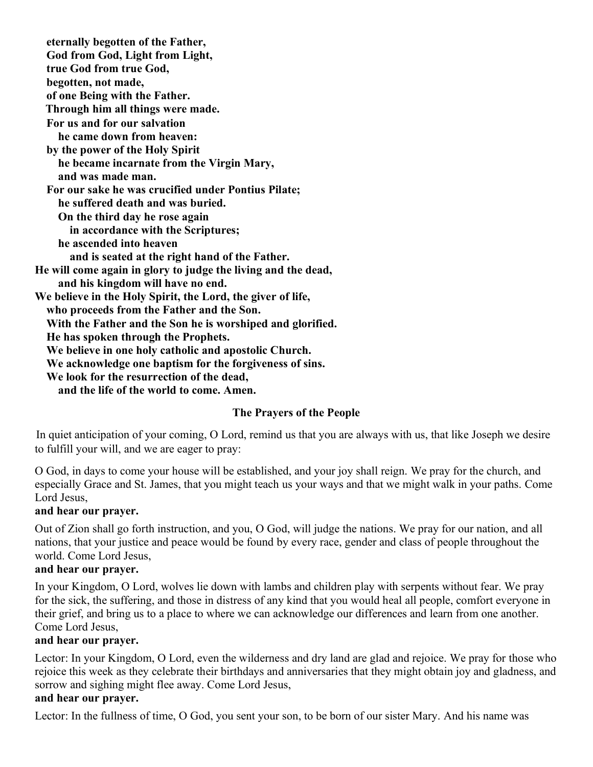**eternally begotten of the Father, God from God, Light from Light, true God from true God, begotten, not made, of one Being with the Father. Through him all things were made. For us and for our salvation he came down from heaven: by the power of the Holy Spirit he became incarnate from the Virgin Mary, and was made man. For our sake he was crucified under Pontius Pilate; he suffered death and was buried. On the third day he rose again in accordance with the Scriptures; he ascended into heaven and is seated at the right hand of the Father. He will come again in glory to judge the living and the dead, and his kingdom will have no end. We believe in the Holy Spirit, the Lord, the giver of life, who proceeds from the Father and the Son. With the Father and the Son he is worshiped and glorified. He has spoken through the Prophets. We believe in one holy catholic and apostolic Church. We acknowledge one baptism for the forgiveness of sins. We look for the resurrection of the dead, and the life of the world to come. Amen.**

#### **The Prayers of the People**

In quiet anticipation of your coming, O Lord, remind us that you are always with us, that like Joseph we desire to fulfill your will, and we are eager to pray:

O God, in days to come your house will be established, and your joy shall reign. We pray for the church, and especially Grace and St. James, that you might teach us your ways and that we might walk in your paths. Come Lord Jesus,

#### **and hear our prayer.**

Out of Zion shall go forth instruction, and you, O God, will judge the nations. We pray for our nation, and all nations, that your justice and peace would be found by every race, gender and class of people throughout the world. Come Lord Jesus,

#### **and hear our prayer.**

In your Kingdom, O Lord, wolves lie down with lambs and children play with serpents without fear. We pray for the sick, the suffering, and those in distress of any kind that you would heal all people, comfort everyone in their grief, and bring us to a place to where we can acknowledge our differences and learn from one another. Come Lord Jesus,

#### **and hear our prayer.**

Lector: In your Kingdom, O Lord, even the wilderness and dry land are glad and rejoice. We pray for those who rejoice this week as they celebrate their birthdays and anniversaries that they might obtain joy and gladness, and sorrow and sighing might flee away. Come Lord Jesus,

# **and hear our prayer.**

Lector: In the fullness of time, O God, you sent your son, to be born of our sister Mary. And his name was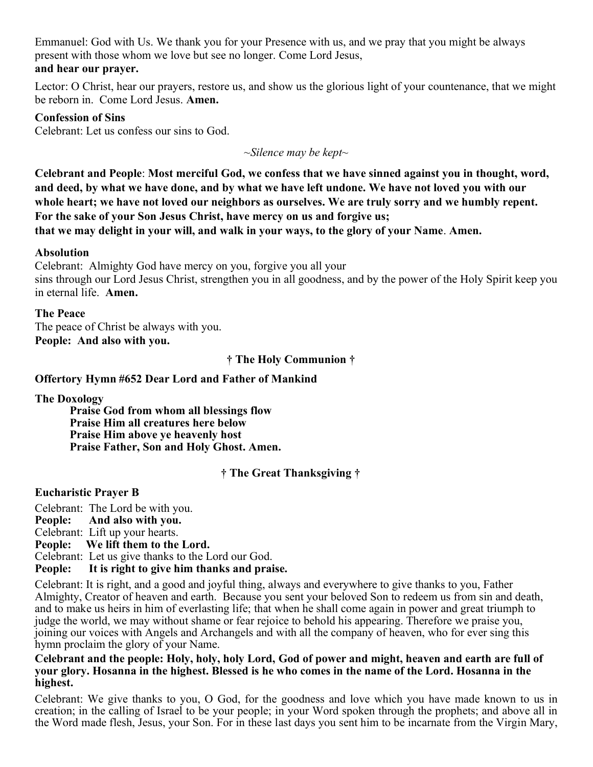Emmanuel: God with Us. We thank you for your Presence with us, and we pray that you might be always present with those whom we love but see no longer. Come Lord Jesus, **and hear our prayer.**

Lector: O Christ, hear our prayers, restore us, and show us the glorious light of your countenance, that we might be reborn in. Come Lord Jesus. **Amen.**

#### **Confession of Sins**

Celebrant: Let us confess our sins to God.

*~Silence may be kept~*

**Celebrant and People**: **Most merciful God, we confess that we have sinned against you in thought, word, and deed, by what we have done, and by what we have left undone. We have not loved you with our whole heart; we have not loved our neighbors as ourselves. We are truly sorry and we humbly repent. For the sake of your Son Jesus Christ, have mercy on us and forgive us; that we may delight in your will, and walk in your ways, to the glory of your Name**. **Amen.**

#### **Absolution**

Celebrant:Almighty God have mercy on you, forgive you all your sins through our Lord Jesus Christ, strengthen you in all goodness, and by the power of the Holy Spirit keep you in eternal life. **Amen.**

#### **The Peace**

The peace of Christ be always with you. **People: And also with you.**

**† The Holy Communion †**

#### **Offertory Hymn #652 Dear Lord and Father of Mankind**

**The Doxology**

**Praise God from whom all blessings flow Praise Him all creatures here below Praise Him above ye heavenly host Praise Father, Son and Holy Ghost. Amen.**

#### **† The Great Thanksgiving †**

#### **Eucharistic Prayer B**

Celebrant: The Lord be with you. **People: And also with you.** Celebrant: Lift up your hearts. **People: We lift them to the Lord.** Celebrant: Let us give thanks to the Lord our God. **People: It is right to give him thanks and praise.**

Celebrant: It is right, and a good and joyful thing, always and everywhere to give thanks to you, Father Almighty, Creator of heaven and earth. Because you sent your beloved Son to redeem us from sin and death, and to make us heirs in him of everlasting life; that when he shall come again in power and great triumph to judge the world, we may without shame or fear rejoice to behold his appearing. Therefore we praise you, joining our voices with Angels and Archangels and with all the company of heaven, who for ever sing this hymn proclaim the glory of your Name.

**Celebrant and the people: Holy, holy, holy Lord, God of power and might, heaven and earth are full of your glory. Hosanna in the highest. Blessed is he who comes in the name of the Lord. Hosanna in the highest.** 

Celebrant: We give thanks to you, O God, for the goodness and love which you have made known to us in creation; in the calling of Israel to be your people; in your Word spoken through the prophets; and above all in the Word made flesh, Jesus, your Son. For in these last days you sent him to be incarnate from the Virgin Mary,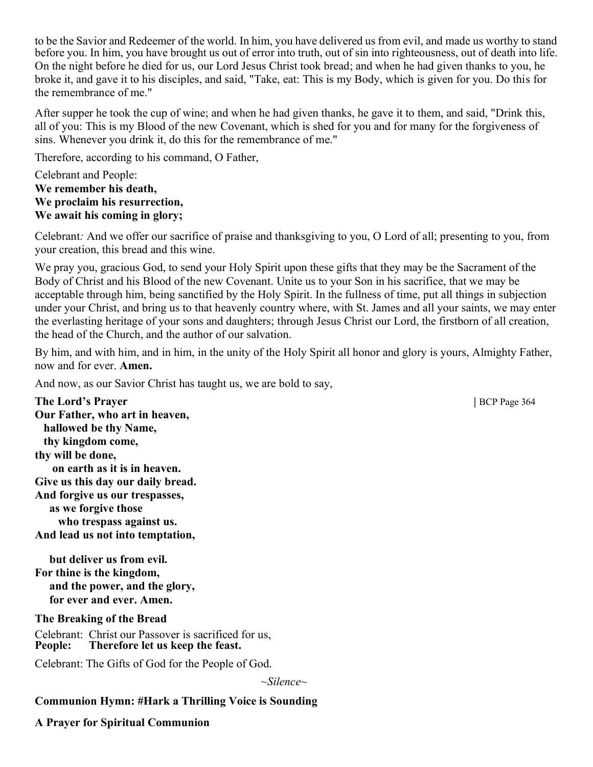to be the Savior and Redeemer of the world. In him, you have delivered us from evil, and made us worthy to stand before you. In him, you have brought us out of error into truth, out of sin into righteousness, out of death into life. On the night before he died for us, our Lord Jesus Christ took bread; and when he had given thanks to you, he broke it, and gave it to his disciples, and said, "Take, eat: This is my Body, which is given for you. Do this for the remembrance of me."

After supper he took the cup of wine; and when he had given thanks, he gave it to them, and said, "Drink this, all of you: This is my Blood of the new Covenant, which is shed for you and for many for the forgiveness of sins. Whenever you drink it, do this for the remembrance of me."

Therefore, according to his command, O Father,

Celebrant and People: **We remember his death, We proclaim his resurrection, We await his coming in glory;**

Celebrant*:* And we offer our sacrifice of praise and thanksgiving to you, O Lord of all; presenting to you, from your creation, this bread and this wine.

We pray you, gracious God, to send your Holy Spirit upon these gifts that they may be the Sacrament of the Body of Christ and his Blood of the new Covenant. Unite us to your Son in his sacrifice, that we may be acceptable through him, being sanctified by the Holy Spirit. In the fullness of time, put all things in subjection under your Christ, and bring us to that heavenly country where, with St. James and all your saints, we may enter the everlasting heritage of your sons and daughters; through Jesus Christ our Lord, the firstborn of all creation, the head of the Church, and the author of our salvation.

By him, and with him, and in him, in the unity of the Holy Spirit all honor and glory is yours, Almighty Father, now and for ever. **Amen.**

And now, as our Savior Christ has taught us, we are bold to say,

**The Lord's Prayer | BCP Page 364 Our Father, who art in heaven, hallowed be thy Name, thy kingdom come, thy will be done, on earth as it is in heaven. Give us this day our daily bread. And forgive us our trespasses, as we forgive those who trespass against us. And lead us not into temptation,** 

 **but deliver us from evil. For thine is the kingdom, and the power, and the glory, for ever and ever. Amen.**

#### **The Breaking of the Bread**

Celebrant: Christ our Passover is sacrificed for us,<br>**People:** Therefore let us keep the feast. Therefore let us keep the feast.

Celebrant: The Gifts of God for the People of God.

*~Silence~*

#### **Communion Hymn: #Hark a Thrilling Voice is Sounding**

**A Prayer for Spiritual Communion**